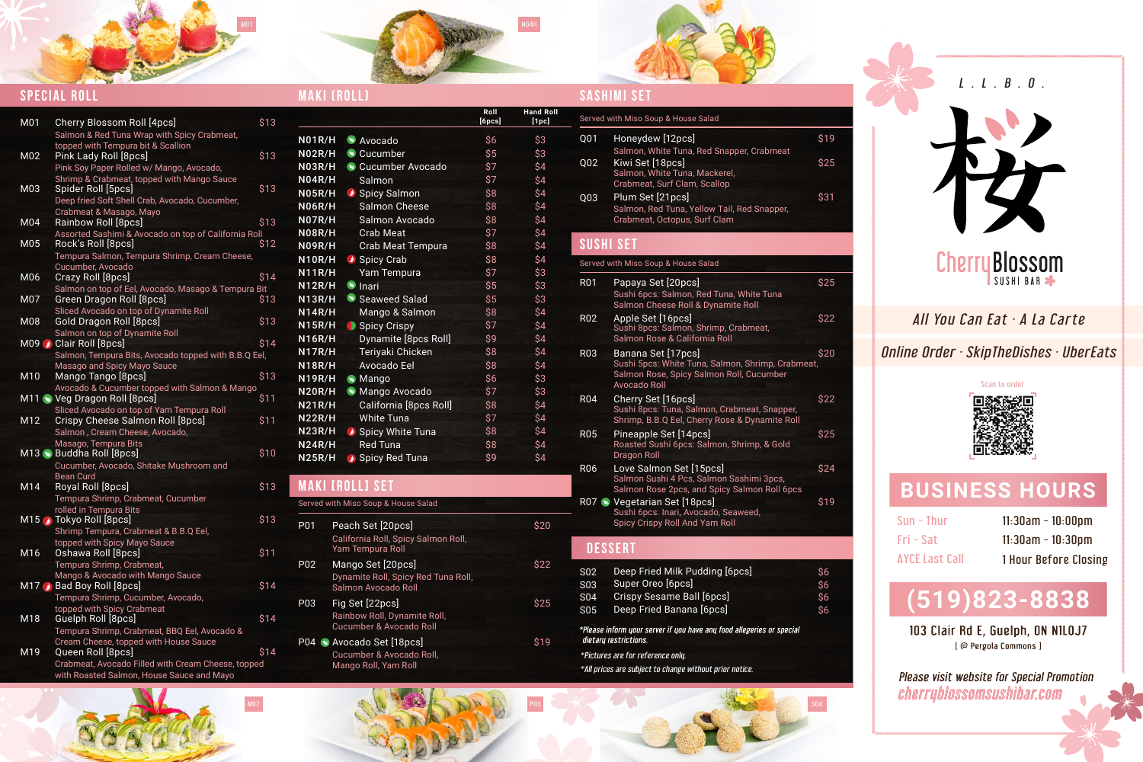# All You Can Eat · A La Carte

Online 0rder · SkipTheDishes · UberEats

Sun - Thur Fri - Sat AYCE Last Call

Please visit website for Special Promotion cherryblossomsushibar.com

11:30am - 10:00pm 11:30am - 10:30pm 1 Hour Before Closing

# **BUSINESS HOURS**

#### **DESSERT**



| <b>N01R/H</b>                            | Avocado                | \$6 |
|------------------------------------------|------------------------|-----|
| N02R/H                                   | Cucumber               | \$5 |
| $\overline{\text{N}03\text{R}/\text{H}}$ | Cucumber Avocado       | \$7 |
| N04R/H                                   | Salmon                 | \$7 |
| <u>N05R/H</u>                            | Spicy Salmon           | \$8 |
| N06R/H                                   | Salmon Cheese          | \$8 |
| $\overline{\mathsf{NO7R/H}}$             | Salmon Avocado         | \$8 |
| N08R/H                                   | <b>Crab Meat</b>       | \$7 |
| $\overline{\mathsf{N09R/H}}$             | Crab Meat Tempura      | \$8 |
| N10R/H                                   | Spicy Crab             | \$8 |
| <b>N11R/H</b>                            | Yam Tempura            | \$7 |
| <b>N12R/H</b>                            | $\bullet$ Inari        | \$5 |
| N13R/H                                   | Seaweed Salad          | \$5 |
| N14R/H                                   | Mango & Salmon         | \$8 |
| <u>N15R/H</u>                            | Spicy Crispy           | \$7 |
| <b>N16R/H</b>                            | Dynamite [8pcs Roll]   | \$9 |
| N17R/H                                   | Teriyaki Chicken       | \$8 |
| N18R/H                                   | Avocado Eel            | \$8 |
| <b>N19R/H</b>                            | Mango                  | \$6 |
| N20R/H                                   | Mango Avocado          | \$7 |
| <b>N21R/H</b>                            | California [8pcs Roll] | \$8 |
| <b>N22R/H</b>                            | <b>White Tuna</b>      | \$7 |
| <b>N23R/H</b>                            | Spicy White Tuna       | \$8 |
| <b>N24R/H</b>                            | <b>Red Tuna</b>        | \$8 |
| <b>N25R/H</b>                            | Spicy Red Tuna         | \$9 |

#### **MAKI [ROLL] SET**

|           |                          | \$19                  |      |  |  |
|-----------|--------------------------|-----------------------|------|--|--|
|           |                          | $\sqrt{\frac{25}{5}}$ |      |  |  |
|           |                          | $\sqrt{\frac{3}{3}}$  |      |  |  |
|           |                          |                       |      |  |  |
|           |                          |                       |      |  |  |
|           |                          |                       |      |  |  |
|           | \$25                     |                       |      |  |  |
|           | \$22                     |                       |      |  |  |
|           |                          | $\sqrt{20}$           |      |  |  |
| )meat,    |                          |                       |      |  |  |
|           |                          | \$22                  |      |  |  |
| r,<br>›ll |                          | \$25                  |      |  |  |
|           |                          |                       | \$24 |  |  |
| cs        |                          |                       |      |  |  |
|           |                          | $\overline{\$19}$     |      |  |  |
|           |                          |                       |      |  |  |
|           |                          |                       |      |  |  |
|           | \$6<br>\$6<br>\$6<br>\$6 |                       |      |  |  |
|           |                          |                       |      |  |  |

M07 S04

|             | $MOMDIII \rightarrow M11$ |
|-------------|---------------------------|
|             |                           |
| MAKI (ROLL) |                           |

\$20

**Hand** 

\$22

\$25

\$19



#### **Special Roll**

**Roll [6pcs]**

| S <sub>02</sub> | Deep Fried Milk Pudding [6pcs]                                                              |
|-----------------|---------------------------------------------------------------------------------------------|
| <b>S03</b>      | Super Oreo [6pcs]                                                                           |
| <b>S04</b>      | Crispy Sesame Ball [6pcs]                                                                   |
| <b>S05</b>      | Deep Fried Banana [6pcs]                                                                    |
|                 | *Please inform your server if you have any food allegeries or spec<br>dietary restrictions. |
|                 | *Pictures are for reference only.                                                           |
|                 | *All prices are subject to change without prior notice.                                     |

| M01                        | <b>Cherry Blossom Roll [4pcs]</b>                    | \$13 |
|----------------------------|------------------------------------------------------|------|
|                            | Salmon & Red Tuna Wrap with Spicy Crabmeat,          |      |
|                            | topped with Tempura bit & Scallion                   |      |
| M02                        | Pink Lady Roll [8pcs]                                | \$13 |
|                            | Pink Soy Paper Rolled w/ Mango, Avocado,             |      |
|                            | Shrimp & Crabmeat, topped with Mango Sauce           |      |
| M03                        | Spider Roll [5pcs]                                   | \$13 |
|                            | Deep fried Soft Shell Crab, Avocado, Cucumber,       |      |
|                            | Crabmeat & Masago, Mayo                              |      |
| M04                        | Rainbow Roll [8pcs]                                  | \$13 |
|                            | Assorted Sashimi & Avocado on top of California Roll |      |
| M05                        | Rock's Roll [8pcs]                                   | \$12 |
|                            | Tempura Salmon, Tempura Shrimp, Cream Cheese,        |      |
|                            | Cucumber, Avocado                                    |      |
| M06                        | Crazy Roll [8pcs]                                    | \$14 |
|                            | Salmon on top of Eel, Avocado, Masago & Tempura Bit  |      |
| M07                        | Green Dragon Roll [8pcs]                             | \$13 |
|                            | Sliced Avocado on top of Dynamite Roll               |      |
| M08                        | Gold Dragon Roll [8pcs]                              | \$13 |
|                            | Salmon on top of Dynamite Roll                       |      |
| M09                        | Clair Roll [8pcs]                                    | \$14 |
|                            | Salmon, Tempura Bits, Avocado topped with B.B.Q Eel, |      |
|                            |                                                      |      |
| M10                        | Masago and Spicy Mayo Sauce                          | \$13 |
|                            | Mango Tango [8pcs]                                   |      |
|                            | Avocado & Cucumber topped with Salmon & Mango        | \$11 |
|                            | M11 Veg Dragon Roll [8pcs]                           |      |
|                            | Sliced Avocado on top of Yam Tempura Roll            |      |
| M12                        | Crispy Cheese Salmon Roll [8pcs]                     | \$11 |
|                            | Salmon, Cream Cheese, Avocado,                       |      |
|                            | Masago, Tempura Bits                                 |      |
|                            | M13 Buddha Roll [8pcs]                               | \$10 |
|                            | Cucumber, Avocado, Shitake Mushroom and              |      |
|                            | <b>Bean Curd</b>                                     |      |
| M14                        | Royal Roll [8pcs]                                    | \$13 |
|                            | Tempura Shrimp, Crabmeat, Cucumber                   |      |
|                            | rolled in Tempura Bits                               |      |
|                            | M <sub>15</sub> Tokyo Roll [8pcs]                    | \$13 |
|                            | Shrimp Tempura, Crabmeat & B.B.Q Eel,                |      |
|                            | topped with Spicy Mayo Sauce                         |      |
| $\overline{\mathsf{M}}$ 16 | Oshawa Roll [8pcs]                                   | \$11 |
|                            | Tempura Shrimp, Crabmeat,                            |      |
|                            | Mango & Avocado with Mango Sauce                     |      |
|                            | M17 Bad Boy Roll [8pcs]                              | \$14 |
|                            | Tempura Shrimp, Cucumber, Avocado,                   |      |
|                            | topped with Spicy Crabmeat                           |      |
| M18                        | Guelph Roll [8pcs]                                   | \$14 |
|                            | Tempura Shrimp, Crabmeat, BBQ Eel, Avocado &         |      |
|                            | Cream Cheese, topped with House Sauce                |      |
| M19                        | Queen Roll [8pcs]                                    | \$14 |
|                            | Crabmeat, Avocado Filled with Cream Cheese, topped   |      |
|                            | with Roasted Salmon, House Sauce and Mayo            |      |



|     | Served with Miso Soup & House Salad                                                   |
|-----|---------------------------------------------------------------------------------------|
| P01 | Peach Set [20pcs]<br>California Roll, Spicy Salmon Roll,<br>Yam Tempura Roll          |
| P02 | Mango Set [20pcs]<br>Dynamite Roll, Spicy Red Tuna Roll,<br>Salmon Avocado Roll       |
| P03 | Fig Set [22pcs]<br>Rainbow Roll, Dynamite Roll,<br><b>Cucumber &amp; Avocado Roll</b> |
|     | P04 • Avocado Set [18pcs]<br>Cucumber & Avocado Roll,<br>Mango Roll, Yam Roll         |

| nd Roll<br>[1pc]  |                 | Served with Miso Soup & House Salad                                                                                                        |      |
|-------------------|-----------------|--------------------------------------------------------------------------------------------------------------------------------------------|------|
| \$3<br>\$3        | Q <sub>01</sub> | Honeydew [12pcs]<br>Salmon, White Tuna, Red Snapper, Crabmeat                                                                              | \$19 |
| \$4<br>\$4        | Q02             | Kiwi Set [18pcs]<br>Salmon, White Tuna, Mackerel,<br>Crabmeat, Surf Clam, Scallop                                                          | \$25 |
| \$4<br>\$4<br>\$4 | Q <sub>03</sub> | Plum Set [21pcs]<br>Salmon, Red Tuna, Yellow Tail, Red Snapper,<br>Crabmeat, Octopus, Surf Clam                                            | \$31 |
| \$4<br>\$4        |                 | <b>SUSHI SET</b>                                                                                                                           |      |
| \$4<br>\$3        |                 | Served with Miso Soup & House Salad                                                                                                        |      |
| \$3<br>\$3        | R <sub>01</sub> | Papaya Set [20pcs]<br>Sushi 6pcs: Salmon, Red Tuna, White Tuna<br>Salmon Cheese Roll & Dynamite Roll                                       | \$25 |
| \$4<br>\$4<br>\$4 | <b>R02</b>      | Apple Set [16pcs]<br>Sushi 8pcs: Salmon, Shrimp, Crabmeat,<br>Salmon Rose & California Roll                                                | \$22 |
| \$4<br>\$4<br>\$3 | <b>R03</b>      | Banana Set [17pcs]<br>Sushi 5pcs: White Tuna, Salmon, Shrimp, Crabmeat,<br>Salmon Rose, Spicy Salmon Roll, Cucumber<br><b>Avocado Roll</b> | \$20 |
| \$3<br>\$4<br>\$4 | <b>R04</b>      | Cherry Set [16pcs]<br>Sushi 8pcs: Tuna, Salmon, Crabmeat, Snapper,<br>Shrimp, B.B.Q Eel, Cherry Rose & Dynamite Roll                       | \$22 |
| \$4<br>\$4<br>\$4 | <b>RO5</b>      | Pineapple Set [14pcs]<br>Roasted Sushi 6pcs: Salmon, Shrimp, & Gold<br><b>Dragon Roll</b>                                                  | \$25 |
|                   | <b>R06</b>      | Love Salmon Set [15pcs]                                                                                                                    | \$24 |

- Salmon Sushi 4 Pcs, Salmon Sashimi 3pcs, Salmon Rose 2pcs, and Spicy Salmon Roll 6pcs Vegetarian Set [18pcs] \$19 R07
- Sushi 6pcs: Inari, Avocado, Seaweed, Spicy Crispy Roll And Yam Roll

# **(519)823-8838**

103 Clair Rd E, Guelph, ON N1L0J7 [ @ Pergola Commons ]

#### Scan to order